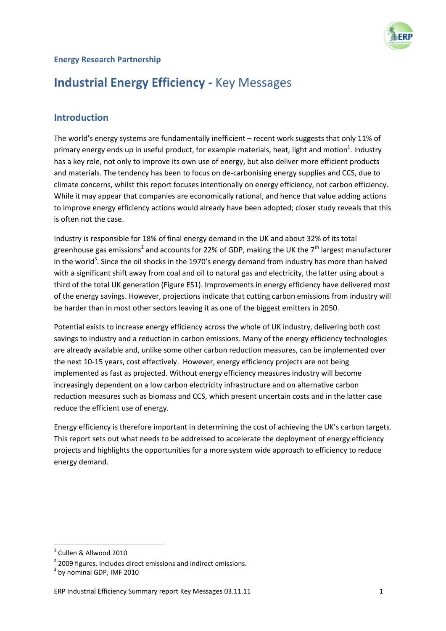# **Energy Research Partnership**

# **Industrial Energy Efficiency -** Key Messages

# **Introduction**

The world's energy systems are fundamentally inefficient – recent work suggests that only 11% of primary energy ends up in useful product, for example materials, heat, light and motion<sup>1</sup>. Industry has a key role, not only to improve its own use of energy, but also deliver more efficient products and materials. The tendency has been to focus on de-carbonising energy supplies and CCS, due to climate concerns, whilst this report focuses intentionally on energy efficiency, not carbon efficiency. While it may appear that companies are economically rational, and hence that value adding actions to improve energy efficiency actions would already have been adopted; closer study reveals that this is often not the case.

Industry is responsible for 18% of final energy demand in the UK and about 32% of its total greenhouse gas emissions<sup>2</sup> and accounts for 22% of GDP, making the UK the 7<sup>th</sup> largest manufacturer in the world<sup>3</sup>. Since the oil shocks in the 1970's energy demand from industry has more than halved with a significant shift away from coal and oil to natural gas and electricity, the latter using about a third of the total UK generation (Figure ES1). Improvements in energy efficiency have delivered most of the energy savings. However, projections indicate that cutting carbon emissions from industry will be harder than in most other sectors leaving it as one of the biggest emitters in 2050.

Potential exists to increase energy efficiency across the whole of UK industry, delivering both cost savings to industry and a reduction in carbon emissions. Many of the energy efficiency technologies are already available and, unlike some other carbon reduction measures, can be implemented over the next 10-15 years, cost effectively. However, energy efficiency projects are not being implemented as fast as projected. Without energy efficiency measures industry will become increasingly dependent on a low carbon electricity infrastructure and on alternative carbon reduction measures such as biomass and CCS, which present uncertain costs and in the latter case reduce the efficient use of energy.

Energy efficiency is therefore important in determining the cost of achieving the UK's carbon targets. This report sets out what needs to be addressed to accelerate the deployment of energy efficiency projects and highlights the opportunities for a more system wide approach to efficiency to reduce energy demand.

**.** 

<sup>&</sup>lt;sup>1</sup> Cullen & Allwood 2010

 $2$  2009 figures. Includes direct emissions and indirect emissions.

 $3$  by nominal GDP, IMF 2010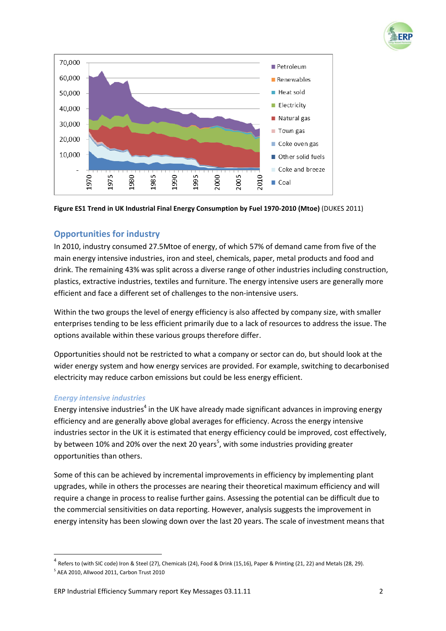





# **Opportunities for industry**

In 2010, industry consumed 27.5Mtoe of energy, of which 57% of demand came from five of the main energy intensive industries, iron and steel, chemicals, paper, metal products and food and drink. The remaining 43% was split across a diverse range of other industries including construction, plastics, extractive industries, textiles and furniture. The energy intensive users are generally more efficient and face a different set of challenges to the non-intensive users.

Within the two groups the level of energy efficiency is also affected by company size, with smaller enterprises tending to be less efficient primarily due to a lack of resources to address the issue. The options available within these various groups therefore differ.

Opportunities should not be restricted to what a company or sector can do, but should look at the wider energy system and how energy services are provided. For example, switching to decarbonised electricity may reduce carbon emissions but could be less energy efficient.

#### *Energy intensive industries*

**.** 

Energy intensive industries<sup>4</sup> in the UK have already made significant advances in improving energy efficiency and are generally above global averages for efficiency. Across the energy intensive industries sector in the UK it is estimated that energy efficiency could be improved, cost effectively, by between 10% and 20% over the next 20 years<sup>5</sup>, with some industries providing greater opportunities than others.

Some of this can be achieved by incremental improvements in efficiency by implementing plant upgrades, while in others the processes are nearing their theoretical maximum efficiency and will require a change in process to realise further gains. Assessing the potential can be difficult due to the commercial sensitivities on data reporting. However, analysis suggests the improvement in energy intensity has been slowing down over the last 20 years. The scale of investment means that

 $^4$  Refers to (with SIC code) Iron & Steel (27), Chemicals (24), Food & Drink (15,16), Paper & Printing (21, 22) and Metals (28, 29). 5 AEA 2010, Allwood 2011, Carbon Trust 2010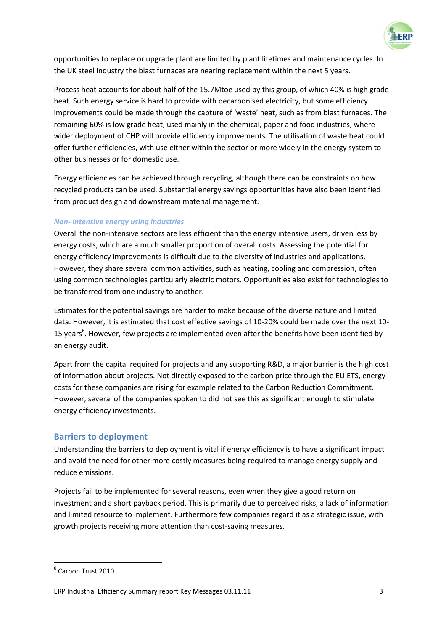

opportunities to replace or upgrade plant are limited by plant lifetimes and maintenance cycles. In the UK steel industry the blast furnaces are nearing replacement within the next 5 years.

Process heat accounts for about half of the 15.7Mtoe used by this group, of which 40% is high grade heat. Such energy service is hard to provide with decarbonised electricity, but some efficiency improvements could be made through the capture of 'waste' heat, such as from blast furnaces. The remaining 60% is low grade heat, used mainly in the chemical, paper and food industries, where wider deployment of CHP will provide efficiency improvements. The utilisation of waste heat could offer further efficiencies, with use either within the sector or more widely in the energy system to other businesses or for domestic use.

Energy efficiencies can be achieved through recycling, although there can be constraints on how recycled products can be used. Substantial energy savings opportunities have also been identified from product design and downstream material management.

#### *Non- intensive energy using industries*

Overall the non-intensive sectors are less efficient than the energy intensive users, driven less by energy costs, which are a much smaller proportion of overall costs. Assessing the potential for energy efficiency improvements is difficult due to the diversity of industries and applications. However, they share several common activities, such as heating, cooling and compression, often using common technologies particularly electric motors. Opportunities also exist for technologies to be transferred from one industry to another.

Estimates for the potential savings are harder to make because of the diverse nature and limited data. However, it is estimated that cost effective savings of 10-20% could be made over the next 10- 15 years<sup>6</sup>. However, few projects are implemented even after the benefits have been identified by an energy audit.

Apart from the capital required for projects and any supporting R&D, a major barrier is the high cost of information about projects. Not directly exposed to the carbon price through the EU ETS, energy costs for these companies are rising for example related to the Carbon Reduction Commitment. However, several of the companies spoken to did not see this as significant enough to stimulate energy efficiency investments.

#### **Barriers to deployment**

Understanding the barriers to deployment is vital if energy efficiency is to have a significant impact and avoid the need for other more costly measures being required to manage energy supply and reduce emissions.

Projects fail to be implemented for several reasons, even when they give a good return on investment and a short payback period. This is primarily due to perceived risks, a lack of information and limited resource to implement. Furthermore few companies regard it as a strategic issue, with growth projects receiving more attention than cost-saving measures.

**.** 

<sup>6</sup> Carbon Trust 2010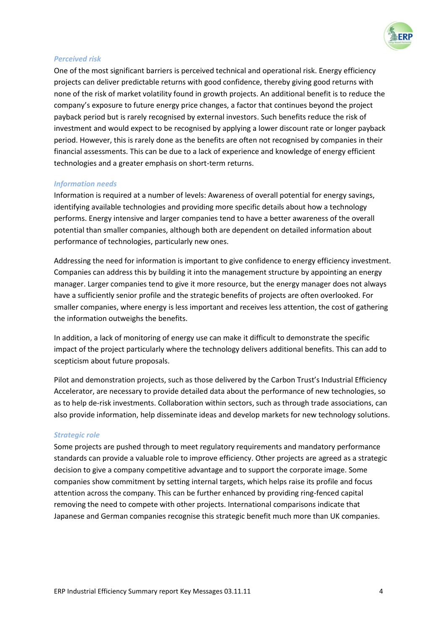

#### *Perceived risk*

One of the most significant barriers is perceived technical and operational risk. Energy efficiency projects can deliver predictable returns with good confidence, thereby giving good returns with none of the risk of market volatility found in growth projects. An additional benefit is to reduce the company's exposure to future energy price changes, a factor that continues beyond the project payback period but is rarely recognised by external investors. Such benefits reduce the risk of investment and would expect to be recognised by applying a lower discount rate or longer payback period. However, this is rarely done as the benefits are often not recognised by companies in their financial assessments. This can be due to a lack of experience and knowledge of energy efficient technologies and a greater emphasis on short-term returns.

#### *Information needs*

Information is required at a number of levels: Awareness of overall potential for energy savings, identifying available technologies and providing more specific details about how a technology performs. Energy intensive and larger companies tend to have a better awareness of the overall potential than smaller companies, although both are dependent on detailed information about performance of technologies, particularly new ones.

Addressing the need for information is important to give confidence to energy efficiency investment. Companies can address this by building it into the management structure by appointing an energy manager. Larger companies tend to give it more resource, but the energy manager does not always have a sufficiently senior profile and the strategic benefits of projects are often overlooked. For smaller companies, where energy is less important and receives less attention, the cost of gathering the information outweighs the benefits.

In addition, a lack of monitoring of energy use can make it difficult to demonstrate the specific impact of the project particularly where the technology delivers additional benefits. This can add to scepticism about future proposals.

Pilot and demonstration projects, such as those delivered by the Carbon Trust's Industrial Efficiency Accelerator, are necessary to provide detailed data about the performance of new technologies, so as to help de-risk investments. Collaboration within sectors, such as through trade associations, can also provide information, help disseminate ideas and develop markets for new technology solutions.

#### *Strategic role*

Some projects are pushed through to meet regulatory requirements and mandatory performance standards can provide a valuable role to improve efficiency. Other projects are agreed as a strategic decision to give a company competitive advantage and to support the corporate image. Some companies show commitment by setting internal targets, which helps raise its profile and focus attention across the company. This can be further enhanced by providing ring-fenced capital removing the need to compete with other projects. International comparisons indicate that Japanese and German companies recognise this strategic benefit much more than UK companies.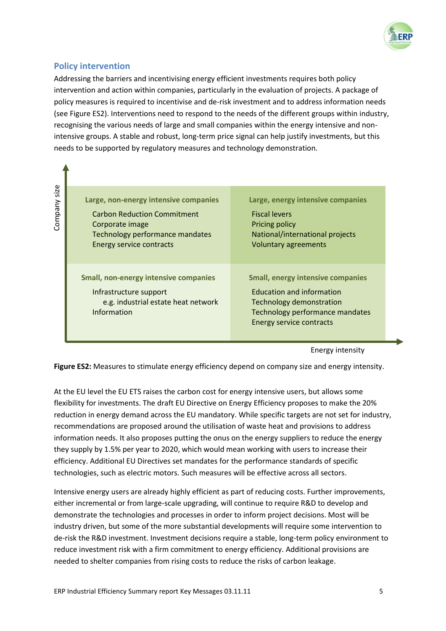

# **Policy intervention**

Addressing the barriers and incentivising energy efficient investments requires both policy intervention and action within companies, particularly in the evaluation of projects. A package of policy measures is required to incentivise and de-risk investment and to address information needs (see Figure ES2). Interventions need to respond to the needs of the different groups within industry, recognising the various needs of large and small companies within the energy intensive and nonintensive groups. A stable and robust, long-term price signal can help justify investments, but this needs to be supported by regulatory measures and technology demonstration.

Company size

| Large, non-energy intensive companies                                                                                        | Large, energy intensive companies                                                                                                                                              |
|------------------------------------------------------------------------------------------------------------------------------|--------------------------------------------------------------------------------------------------------------------------------------------------------------------------------|
| <b>Carbon Reduction Commitment</b>                                                                                           | <b>Fiscal levers</b>                                                                                                                                                           |
| Corporate image                                                                                                              | Pricing policy                                                                                                                                                                 |
| Technology performance mandates                                                                                              | National/international projects                                                                                                                                                |
| <b>Energy service contracts</b>                                                                                              | <b>Voluntary agreements</b>                                                                                                                                                    |
| <b>Small, non-energy intensive companies</b><br>Infrastructure support<br>e.g. industrial estate heat network<br>Information | <b>Small, energy intensive companies</b><br><b>Education and information</b><br>Technology demonstration<br>Technology performance mandates<br><b>Energy service contracts</b> |

#### Energy intensity

**Figure ES2:** Measures to stimulate energy efficiency depend on company size and energy intensity.

At the EU level the EU ETS raises the carbon cost for energy intensive users, but allows some flexibility for investments. The draft EU Directive on Energy Efficiency proposes to make the 20% reduction in energy demand across the EU mandatory. While specific targets are not set for industry, recommendations are proposed around the utilisation of waste heat and provisions to address information needs. It also proposes putting the onus on the energy suppliers to reduce the energy they supply by 1.5% per year to 2020, which would mean working with users to increase their efficiency. Additional EU Directives set mandates for the performance standards of specific technologies, such as electric motors. Such measures will be effective across all sectors.

Intensive energy users are already highly efficient as part of reducing costs. Further improvements, either incremental or from large-scale upgrading, will continue to require R&D to develop and demonstrate the technologies and processes in order to inform project decisions. Most will be industry driven, but some of the more substantial developments will require some intervention to de-risk the R&D investment. Investment decisions require a stable, long-term policy environment to reduce investment risk with a firm commitment to energy efficiency. Additional provisions are needed to shelter companies from rising costs to reduce the risks of carbon leakage.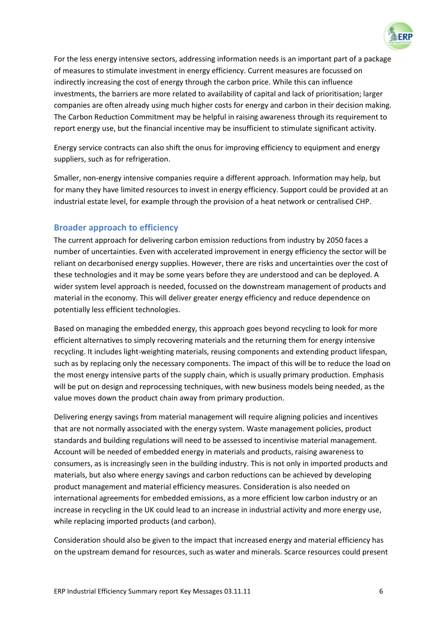

For the less energy intensive sectors, addressing information needs is an important part of a package of measures to stimulate investment in energy efficiency. Current measures are focussed on indirectly increasing the cost of energy through the carbon price. While this can influence investments, the barriers are more related to availability of capital and lack of prioritisation; larger companies are often already using much higher costs for energy and carbon in their decision making. The Carbon Reduction Commitment may be helpful in raising awareness through its requirement to report energy use, but the financial incentive may be insufficient to stimulate significant activity.

Energy service contracts can also shift the onus for improving efficiency to equipment and energy suppliers, such as for refrigeration.

Smaller, non-energy intensive companies require a different approach. Information may help, but for many they have limited resources to invest in energy efficiency. Support could be provided at an industrial estate level, for example through the provision of a heat network or centralised CHP.

# **Broader approach to efficiency**

The current approach for delivering carbon emission reductions from industry by 2050 faces a number of uncertainties. Even with accelerated improvement in energy efficiency the sector will be reliant on decarbonised energy supplies. However, there are risks and uncertainties over the cost of these technologies and it may be some years before they are understood and can be deployed. A wider system level approach is needed, focussed on the downstream management of products and material in the economy. This will deliver greater energy efficiency and reduce dependence on potentially less efficient technologies.

Based on managing the embedded energy, this approach goes beyond recycling to look for more efficient alternatives to simply recovering materials and the returning them for energy intensive recycling. It includes light-weighting materials, reusing components and extending product lifespan, such as by replacing only the necessary components. The impact of this will be to reduce the load on the most energy intensive parts of the supply chain, which is usually primary production. Emphasis will be put on design and reprocessing techniques, with new business models being needed, as the value moves down the product chain away from primary production.

Delivering energy savings from material management will require aligning policies and incentives that are not normally associated with the energy system. Waste management policies, product standards and building regulations will need to be assessed to incentivise material management. Account will be needed of embedded energy in materials and products, raising awareness to consumers, as is increasingly seen in the building industry. This is not only in imported products and materials, but also where energy savings and carbon reductions can be achieved by developing product management and material efficiency measures. Consideration is also needed on international agreements for embedded emissions, as a more efficient low carbon industry or an increase in recycling in the UK could lead to an increase in industrial activity and more energy use, while replacing imported products (and carbon).

Consideration should also be given to the impact that increased energy and material efficiency has on the upstream demand for resources, such as water and minerals. Scarce resources could present